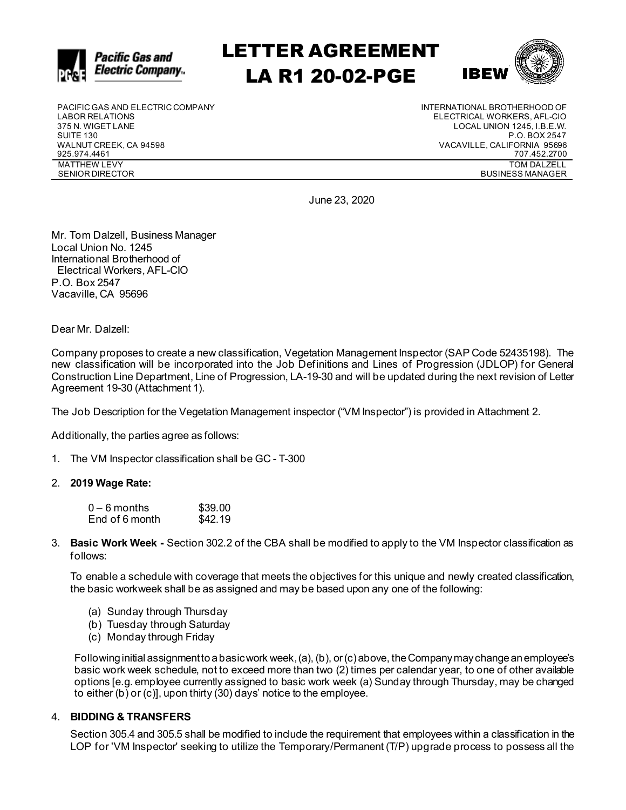

# LETTER AGREEMENT LA R1 20-02-PGE



PACIFIC GAS AND ELECTRIC COMPANY LABOR RELATIONS 375 N. WIGET LANE SUITE 130 WALNUT CREEK, CA 94598 925.974.4461 MATTHEW LEVY SENIOR DIRECTOR

INTERNATIONAL BROTHERHOOD OF ELECTRICAL WORKERS, AFL-CIO LOCAL UNION 1245, I.B.E.W. P.O. BOX 2547 VACAVILLE, CALIFORNIA 95696 707.452.2700 TOM DALZELL BUSINESS MANAGER

June 23, 2020

Mr. Tom Dalzell, Business Manager Local Union No. 1245 International Brotherhood of Electrical Workers, AFL-CIO P.O. Box 2547 Vacaville, CA 95696

Dear Mr. Dalzell:

Company proposes to create a new classification, Vegetation Management Inspector (SAP Code 52435198). The new classification will be incorporated into the Job Definitions and Lines of Progression (JDLOP) for General Construction Line Department, Line of Progression, LA-19-30 and will be updated during the next revision of Letter Agreement 19-30 (Attachment 1).

The Job Description for the Vegetation Management inspector ("VM Inspector") is provided in Attachment 2.

Additionally, the parties agree as follows:

1. The VM Inspector classification shall be GC - T-300

#### 2. **2019 Wage Rate:**

| $0-6$ months   | \$39.00 |
|----------------|---------|
| End of 6 month | \$42.19 |

3. **Basic Work Week -** Section 302.2 of the CBA shall be modified to apply to the VM Inspector classification as follows:

To enable a schedule with coverage that meets the objectives for this unique and newly created classification, the basic workweek shall be as assigned and may be based upon any one of the following:

- (a) Sunday through Thursday
- (b) Tuesday through Saturday
- (c) Monday through Friday

Following initial assignment to a basic work week, (a), (b), or (c) above, the Company may change an employee's basic work week schedule, not to exceed more than two (2) times per calendar year, to one of other available options [e.g. employee currently assigned to basic work week (a) Sunday through Thursday, may be changed to either (b) or (c)], upon thirty (30) days' notice to the employee.

#### 4. **BIDDING & TRANSFERS**

Section 305.4 and 305.5 shall be modified to include the requirement that employees within a classification in the LOP for 'VM Inspector' seeking to utilize the Temporary/Permanent (T/P) upgrade process to possess all the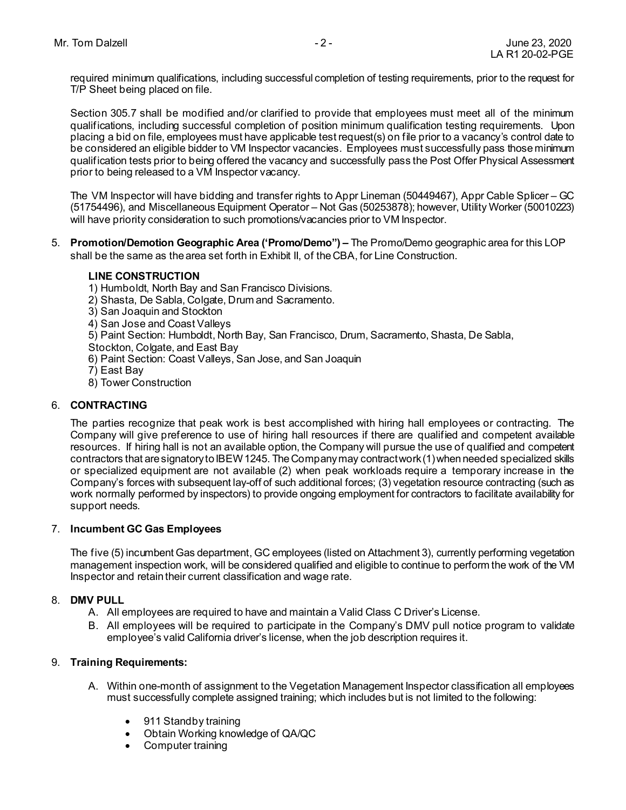required minimum qualifications, including successful completion of testing requirements, prior to the request for T/P Sheet being placed on file.

Section 305.7 shall be modified and/or clarified to provide that employees must meet all of the minimum qualifications, including successful completion of position minimum qualification testing requirements. Upon placing a bid on file, employees must have applicable test request(s) on file prior to a vacancy's control date to be considered an eligible bidder to VM Inspector vacancies. Employees must successfully pass those minimum qualification tests prior to being offered the vacancy and successfully pass the Post Offer Physical Assessment prior to being released to a VM Inspector vacancy.

The VM Inspector will have bidding and transfer rights to Appr Lineman (50449467), Appr Cable Splicer – GC (51754496), and Miscellaneous Equipment Operator – Not Gas (50253878); however, Utility Worker (50010223) will have priority consideration to such promotions/vacancies prior to VM Inspector.

5. **Promotion/Demotion Geographic Area ('Promo/Demo") –** The Promo/Demo geographic area for this LOP shall be the same as the area set forth in Exhibit II, of the CBA, for Line Construction.

#### **LINE CONSTRUCTION**

- 1) Humboldt, North Bay and San Francisco Divisions.
- 2) Shasta, De Sabla, Colgate, Drum and Sacramento.
- 3) San Joaquin and Stockton
- 4) San Jose and Coast Valleys
- 5) Paint Section: Humboldt, North Bay, San Francisco, Drum, Sacramento, Shasta, De Sabla,
- Stockton, Colgate, and East Bay
- 6) Paint Section: Coast Valleys, San Jose, and San Joaquin
- 7) East Bay
- 8) Tower Construction

#### 6. **CONTRACTING**

The parties recognize that peak work is best accomplished with hiring hall employees or contracting. The Company will give preference to use of hiring hall resources if there are qualified and competent available resources. If hiring hall is not an available option, the Company will pursue the use of qualified and competent contractors that are signatory to IBEW 1245. The Company may contract work (1) when needed specialized skills or specialized equipment are not available (2) when peak workloads require a temporary increase in the Company's forces with subsequent lay-off of such additional forces; (3) vegetation resource contracting (such as work normally performed by inspectors) to provide ongoing employment for contractors to facilitate availability for support needs.

#### 7. **Incumbent GC Gas Employees**

The five (5) incumbent Gas department, GC employees (listed on Attachment 3), currently performing vegetation management inspection work, will be considered qualified and eligible to continue to perform the work of the VM Inspector and retain their current classification and wage rate.

#### 8. **DMV PULL**

- A. All employees are required to have and maintain a Valid Class C Driver's License.
- B. All employees will be required to participate in the Company's DMV pull notice program to validate employee's valid California driver's license, when the job description requires it.

#### 9. **Training Requirements:**

- A. Within one-month of assignment to the Vegetation Management Inspector classification all employees must successfully complete assigned training; which includes but is not limited to the following:
	- 911 Standby training
	- Obtain Working knowledge of QA/QC
	- Computer training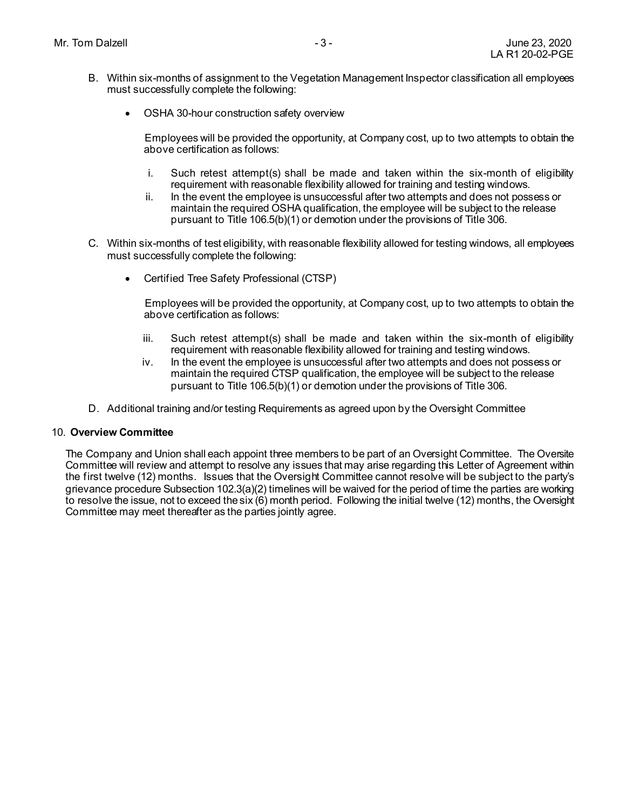- B. Within six-months of assignment to the Vegetation Management Inspector classification all employees must successfully complete the following:
	- OSHA 30-hour construction safety overview

Employees will be provided the opportunity, at Company cost, up to two attempts to obtain the above certification as follows:

- i. Such retest attempt(s) shall be made and taken within the six-month of eligibility requirement with reasonable flexibility allowed for training and testing windows.
- ii. In the event the employee is unsuccessful after two attempts and does not possess or maintain the required OSHA qualification, the employee will be subject to the release pursuant to Title 106.5(b)(1) or demotion under the provisions of Title 306.
- C. Within six-months of test eligibility, with reasonable flexibility allowed for testing windows, all employees must successfully complete the following:
	- Certified Tree Safety Professional (CTSP)

Employees will be provided the opportunity, at Company cost, up to two attempts to obtain the above certification as follows:

- iii. Such retest attempt(s) shall be made and taken within the six-month of eligibility requirement with reasonable flexibility allowed for training and testing windows.
- iv. In the event the employee is unsuccessful after two attempts and does not possess or maintain the required CTSP qualification, the employee will be subject to the release pursuant to Title 106.5(b)(1) or demotion under the provisions of Title 306.
- D. Additional training and/or testing Requirements as agreed upon by the Oversight Committee

#### 10. **Overview Committee**

The Company and Union shall each appoint three members to be part of an Oversight Committee. The Oversite Committee will review and attempt to resolve any issues that may arise regarding this Letter of Agreement within the first twelve (12) months. Issues that the Oversight Committee cannot resolve will be subject to the party's grievance procedure Subsection 102.3(a)(2) timelines will be waived for the period of time the parties are working to resolve the issue, not to exceed the six (6) month period. Following the initial twelve (12) months, the Oversight Committee may meet thereafter as the parties jointly agree.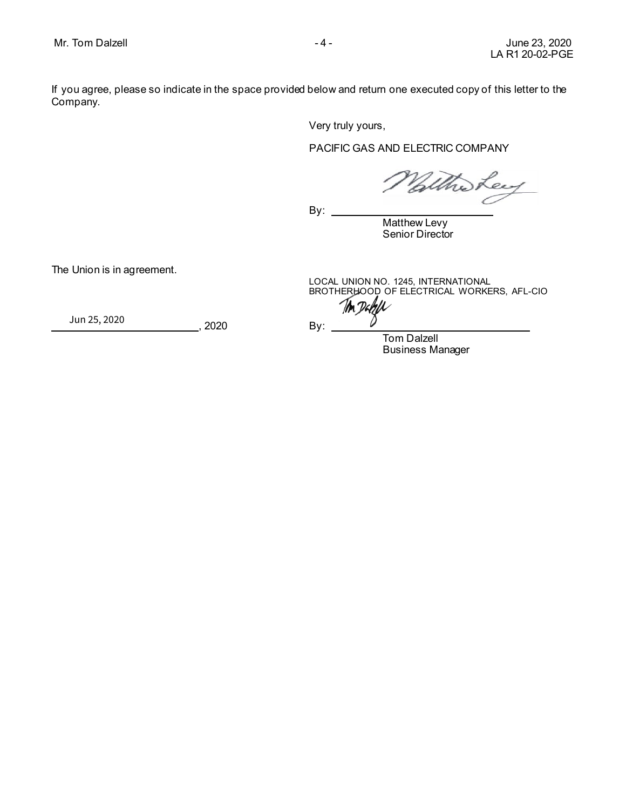If you agree, please so indicate in the space provided below and return one executed copy of this letter to the Company.

Very truly yours,

#### PACIFIC GAS AND ELECTRIC COMPANY

Who Ley

 $By:$ 

Matthew Levy Senior Director

The Union is in agreement.

LOCAL UNION NO. 1245, INTERNATIONAL BROT[HERHOOD OF ELECTRIC](https://ibew1245.na2.documents.adobe.com/verifier?tx=CBJCHBCAABAAAFp9veCVwlFgG4y8a_XLIEvp4Ok0v2Jw)AL WORKERS, AFL-CIO

Ton Dakell  ${ }$ 

, 2020 By: {{Dte\_es\_:Signer:date}} Jun 25, 2020

> Tom Dalzell Business Manager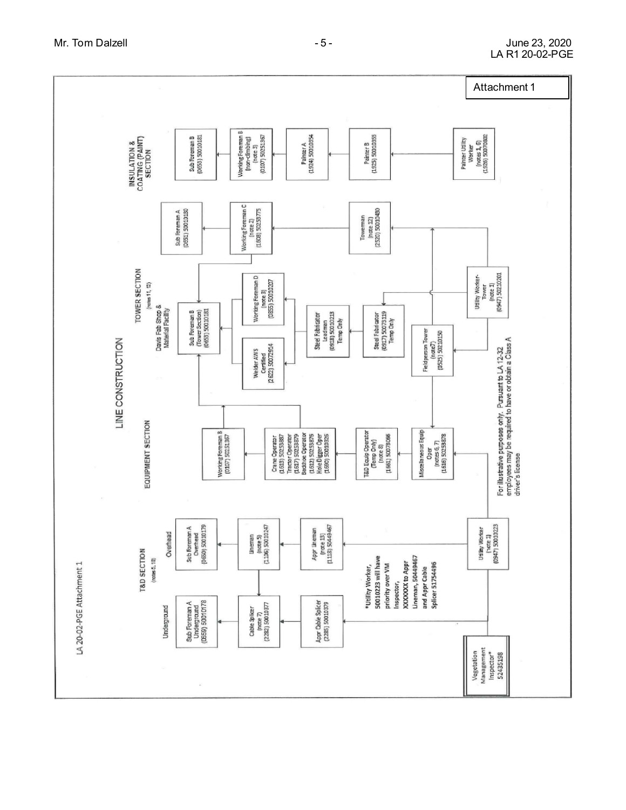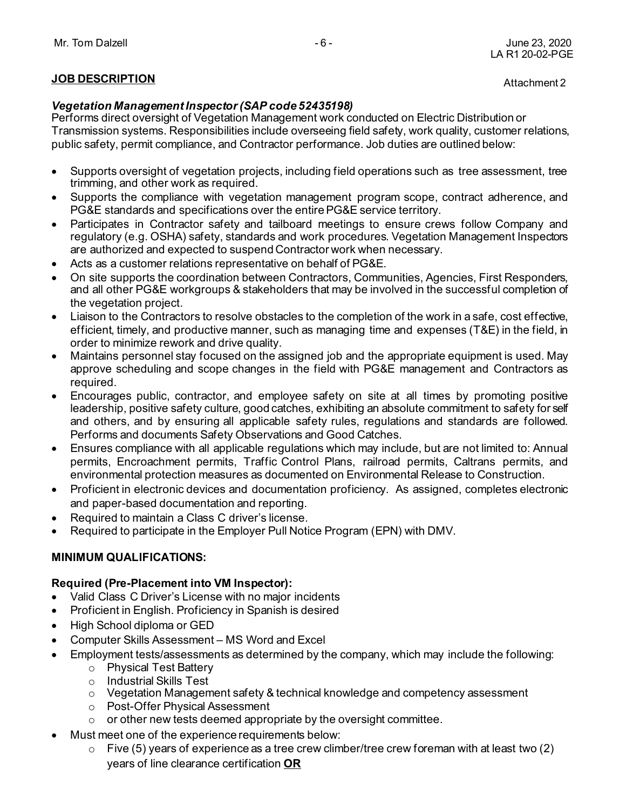## **JOB DESCRIPTION**

### *Vegetation Management Inspector (SAP code 52435198)*

Performs direct oversight of Vegetation Management work conducted on Electric Distribution or Transmission systems. Responsibilities include overseeing field safety, work quality, customer relations, public safety, permit compliance, and Contractor performance. Job duties are outlined below:

- Supports oversight of vegetation projects, including field operations such as tree assessment, tree trimming, and other work as required.
- Supports the compliance with vegetation management program scope, contract adherence, and PG&E standards and specifications over the entire PG&E service territory.
- Participates in Contractor safety and tailboard meetings to ensure crews follow Company and regulatory (e.g. OSHA) safety, standards and work procedures. Vegetation Management Inspectors are authorized and expected to suspend Contractor work when necessary.
- Acts as a customer relations representative on behalf of PG&E.
- On site supports the coordination between Contractors, Communities, Agencies, First Responders, and all other PG&E workgroups & stakeholders that may be involved in the successful completion of the vegetation project.
- Liaison to the Contractors to resolve obstacles to the completion of the work in a safe, cost effective, efficient, timely, and productive manner, such as managing time and expenses (T&E) in the field, in order to minimize rework and drive quality.
- Maintains personnel stay focused on the assigned job and the appropriate equipment is used. May approve scheduling and scope changes in the field with PG&E management and Contractors as required.
- Encourages public, contractor, and employee safety on site at all times by promoting positive leadership, positive safety culture, good catches, exhibiting an absolute commitment to safety for self and others, and by ensuring all applicable safety rules, regulations and standards are followed. Performs and documents Safety Observations and Good Catches.
- Ensures compliance with all applicable regulations which may include, but are not limited to: Annual permits, Encroachment permits, Traffic Control Plans, railroad permits, Caltrans permits, and environmental protection measures as documented on Environmental Release to Construction.
- Proficient in electronic devices and documentation proficiency. As assigned, completes electronic and paper-based documentation and reporting.
- Required to maintain a Class C driver's license.
- Required to participate in the Employer Pull Notice Program (EPN) with DMV.

## **MINIMUM QUALIFICATIONS:**

### **Required (Pre-Placement into VM Inspector):**

- Valid Class C Driver's License with no major incidents
- Proficient in English. Proficiency in Spanish is desired
- High School diploma or GED
- Computer Skills Assessment MS Word and Excel
- Employment tests/assessments as determined by the company, which may include the following:
	- o Physical Test Battery
	- o Industrial Skills Test
	- o Vegetation Management safety & technical knowledge and competency assessment
	- o Post-Offer Physical Assessment
	- $\circ$  or other new tests deemed appropriate by the oversight committee.
- Must meet one of the experience requirements below:
	- $\circ$  Five (5) years of experience as a tree crew climber/tree crew foreman with at least two (2) years of line clearance certification **OR**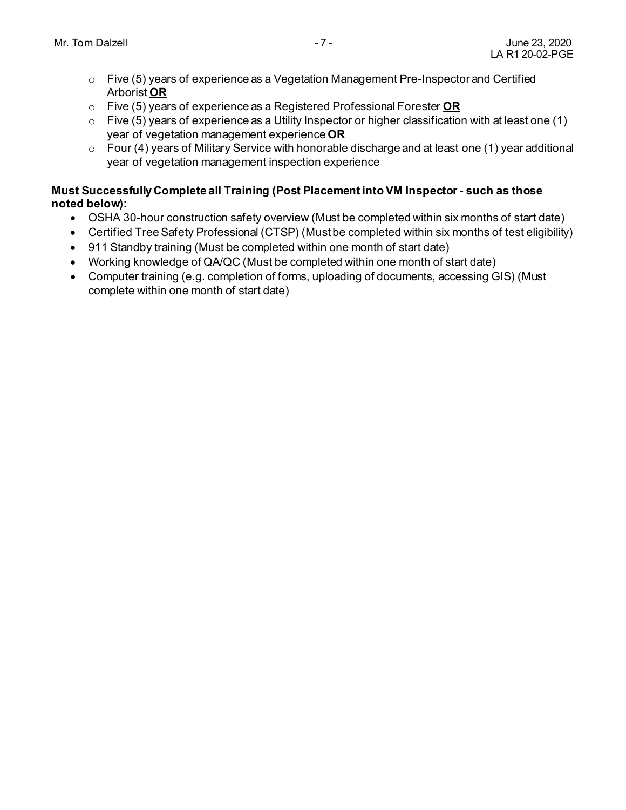- o Five (5) years of experience as a Vegetation Management Pre-Inspector and Certified Arborist **OR**
- o Five (5) years of experience as a Registered Professional Forester **OR**
- $\circ$  Five (5) years of experience as a Utility Inspector or higher classification with at least one (1) year of vegetation management experience **OR**
- o Four (4) years of Military Service with honorable discharge and at least one (1) year additional year of vegetation management inspection experience

### **Must Successfully Complete all Training (Post Placement into VM Inspector - such as those noted below):**

- OSHA 30-hour construction safety overview (Must be completed within six months of start date)
- Certified Tree Safety Professional (CTSP) (Must be completed within six months of test eligibility)
- 911 Standby training (Must be completed within one month of start date)
- Working knowledge of QA/QC (Must be completed within one month of start date)
- Computer training (e.g. completion of forms, uploading of documents, accessing GIS) (Must complete within one month of start date)